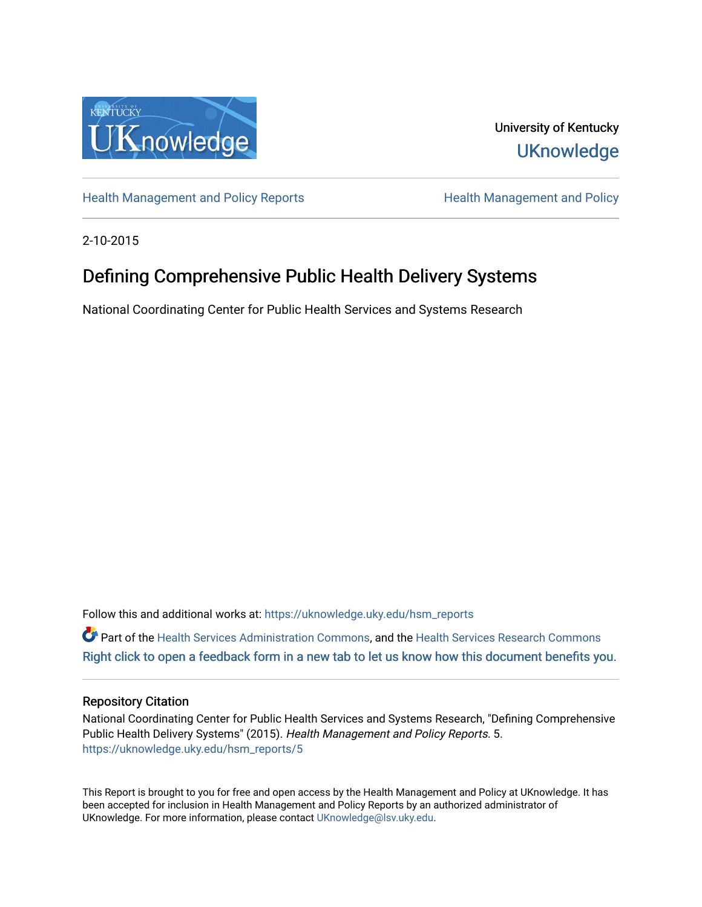

University of Kentucky **UKnowledge** 

[Health Management and Policy Reports](https://uknowledge.uky.edu/hsm_reports) **Health Management and Policy Health Management and Policy** 

2-10-2015

# Defining Comprehensive Public Health Delivery Systems

National Coordinating Center for Public Health Services and Systems Research

Follow this and additional works at: [https://uknowledge.uky.edu/hsm\\_reports](https://uknowledge.uky.edu/hsm_reports?utm_source=uknowledge.uky.edu%2Fhsm_reports%2F5&utm_medium=PDF&utm_campaign=PDFCoverPages)

Part of the [Health Services Administration Commons,](http://network.bepress.com/hgg/discipline/747?utm_source=uknowledge.uky.edu%2Fhsm_reports%2F5&utm_medium=PDF&utm_campaign=PDFCoverPages) and the [Health Services Research Commons](http://network.bepress.com/hgg/discipline/816?utm_source=uknowledge.uky.edu%2Fhsm_reports%2F5&utm_medium=PDF&utm_campaign=PDFCoverPages) [Right click to open a feedback form in a new tab to let us know how this document benefits you.](https://uky.az1.qualtrics.com/jfe/form/SV_9mq8fx2GnONRfz7)

### Repository Citation

National Coordinating Center for Public Health Services and Systems Research, "Defining Comprehensive Public Health Delivery Systems" (2015). Health Management and Policy Reports. 5. [https://uknowledge.uky.edu/hsm\\_reports/5](https://uknowledge.uky.edu/hsm_reports/5?utm_source=uknowledge.uky.edu%2Fhsm_reports%2F5&utm_medium=PDF&utm_campaign=PDFCoverPages)

This Report is brought to you for free and open access by the Health Management and Policy at UKnowledge. It has been accepted for inclusion in Health Management and Policy Reports by an authorized administrator of UKnowledge. For more information, please contact [UKnowledge@lsv.uky.edu](mailto:UKnowledge@lsv.uky.edu).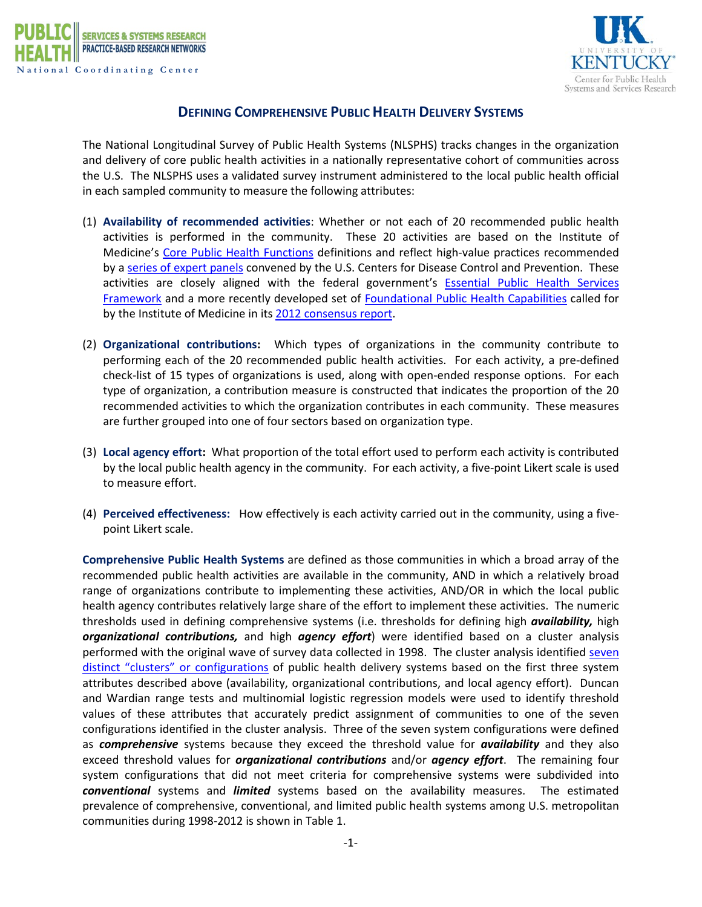



## **DEFINING COMPREHENSIVE PUBLIC HEALTH DELIVERY SYSTEMS**

The National Longitudinal Survey of Public Health Systems (NLSPHS) tracks changes in the organization and delivery of core public health activities in a nationally representative cohort of communities across the U.S. The NLSPHS uses a validated survey instrument administered to the local public health official in each sampled community to measure the following attributes:

- (1) **Availability of recommended activities**: Whether or not each of 20 recommended public health activities is performed in the community. These 20 activities are based on the Institute of Medicine's [Core Public Health Functions](http://iom.edu/Reports/1988/The-Future-of-Public-Health.aspx) definitions and reflect high-value practices recommended by a series of [expert panels](http://www.annualreviews.org/doi/abs/10.1146/annurev.publhealth.18.1.261) convened by the U.S. Centers for Disease Control and Prevention. These activities are closely aligned with the federal government's [Essential Public Health Services](http://www.cdc.gov/nphpsp/essentialServices.html)  [Framework](http://www.cdc.gov/nphpsp/essentialServices.html) and a more recently developed set of [Foundational Public Health Capabilities](http://www.resolv.org/site-foundational-ph-services/) called for by the Institute of Medicine in its [2012 consensus report.](http://www.iom.edu/Reports/2012/For-the-Publics-Health-Investing-in-a-Healthier-Future.aspx)
- (2) **Organizational contributions:** Which types of organizations in the community contribute to performing each of the 20 recommended public health activities. For each activity, a pre-defined check-list of 15 types of organizations is used, along with open-ended response options. For each type of organization, a contribution measure is constructed that indicates the proportion of the 20 recommended activities to which the organization contributes in each community. These measures are further grouped into one of four sectors based on organization type.
- (3) **Local agency effort:** What proportion of the total effort used to perform each activity is contributed by the local public health agency in the community. For each activity, a five-point Likert scale is used to measure effort.
- (4) **Perceived effectiveness:** How effectively is each activity carried out in the community, using a fivepoint Likert scale.

**Comprehensive Public Health Systems** are defined as those communities in which a broad array of the recommended public health activities are available in the community, AND in which a relatively broad range of organizations contribute to implementing these activities, AND/OR in which the local public health agency contributes relatively large share of the effort to implement these activities. The numeric thresholds used in defining comprehensive systems (i.e. thresholds for defining high *availability,* high *organizational contributions,* and high *agency effort*) were identified based on a cluster analysis performed with the original wave of survey data collected in 1998. The cluster analysis identified [seven](http://www.ncbi.nlm.nih.gov/pubmed/20377759)  [distinct "clusters"](http://www.ncbi.nlm.nih.gov/pubmed/20377759) or configurations of public health delivery systems based on the first three system attributes described above (availability, organizational contributions, and local agency effort). Duncan and Wardian range tests and multinomial logistic regression models were used to identify threshold values of these attributes that accurately predict assignment of communities to one of the seven configurations identified in the cluster analysis. Three of the seven system configurations were defined as *comprehensive* systems because they exceed the threshold value for *availability* and they also exceed threshold values for *organizational contributions* and/or *agency effort*. The remaining four system configurations that did not meet criteria for comprehensive systems were subdivided into *conventional* systems and *limited* systems based on the availability measures. The estimated prevalence of comprehensive, conventional, and limited public health systems among U.S. metropolitan communities during 1998-2012 is shown in Table 1.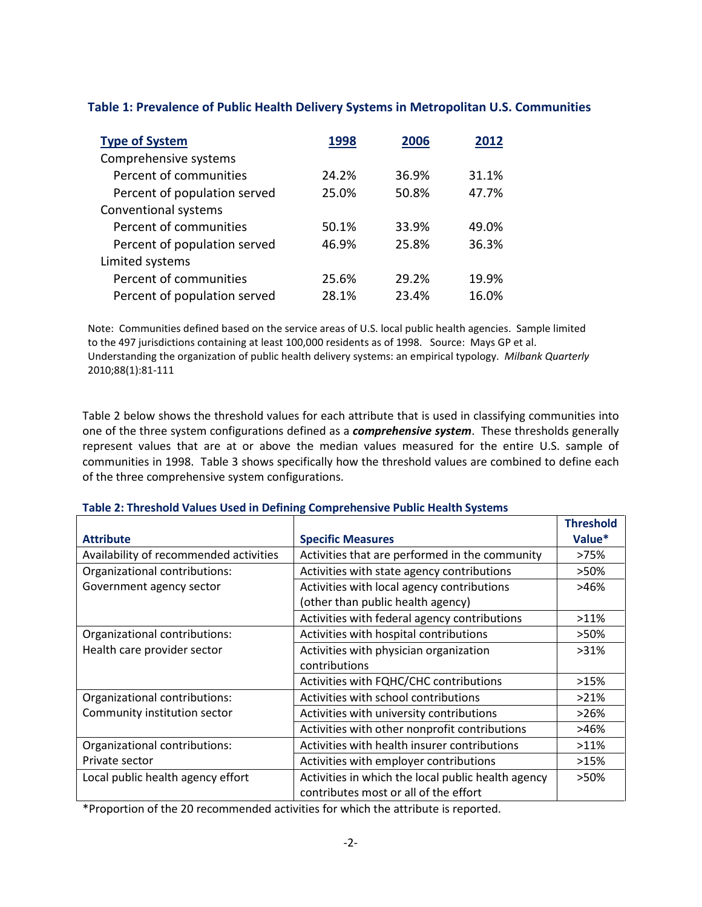| Table 1: Prevalence of Public Health Delivery Systems in Metropolitan U.S. Communities |  |
|----------------------------------------------------------------------------------------|--|
|----------------------------------------------------------------------------------------|--|

| <b>Type of System</b>        | 1998  | 2006  | 2012  |
|------------------------------|-------|-------|-------|
| Comprehensive systems        |       |       |       |
| Percent of communities       | 24.2% | 36.9% | 31.1% |
| Percent of population served | 25.0% | 50.8% | 47.7% |
| Conventional systems         |       |       |       |
| Percent of communities       | 50.1% | 33.9% | 49.0% |
| Percent of population served | 46.9% | 25.8% | 36.3% |
| Limited systems              |       |       |       |
| Percent of communities       | 25.6% | 29.2% | 19.9% |
| Percent of population served | 28.1% | 23.4% | 16.0% |

Note: Communities defined based on the service areas of U.S. local public health agencies. Sample limited to the 497 jurisdictions containing at least 100,000 residents as of 1998. Source: Mays GP et al. Understanding the organization of public health delivery systems: an empirical typology. *Milbank Quarterly* 2010;88(1):81-111

Table 2 below shows the threshold values for each attribute that is used in classifying communities into one of the three system configurations defined as a *comprehensive system*. These thresholds generally represent values that are at or above the median values measured for the entire U.S. sample of communities in 1998. Table 3 shows specifically how the threshold values are combined to define each of the three comprehensive system configurations.

|                                        |                                                    | <b>Threshold</b> |
|----------------------------------------|----------------------------------------------------|------------------|
| <b>Attribute</b>                       | <b>Specific Measures</b>                           | Value*           |
| Availability of recommended activities | Activities that are performed in the community     | >75%             |
| Organizational contributions:          | Activities with state agency contributions         | >50%             |
| Government agency sector               | Activities with local agency contributions         | >46%             |
|                                        | (other than public health agency)                  |                  |
|                                        | Activities with federal agency contributions       | $>11\%$          |
| Organizational contributions:          | Activities with hospital contributions             | >50%             |
| Health care provider sector            | Activities with physician organization             | $>31\%$          |
|                                        | contributions                                      |                  |
|                                        | Activities with FQHC/CHC contributions             | >15%             |
| Organizational contributions:          | Activities with school contributions               | $>21\%$          |
| Community institution sector           | Activities with university contributions           | >26%             |
|                                        | Activities with other nonprofit contributions      | >46%             |
| Organizational contributions:          | Activities with health insurer contributions       | $>11\%$          |
| Private sector                         | Activities with employer contributions             | >15%             |
| Local public health agency effort      | Activities in which the local public health agency | >50%             |
|                                        | contributes most or all of the effort              |                  |

#### **Table 2: Threshold Values Used in Defining Comprehensive Public Health Systems**

\*Proportion of the 20 recommended activities for which the attribute is reported.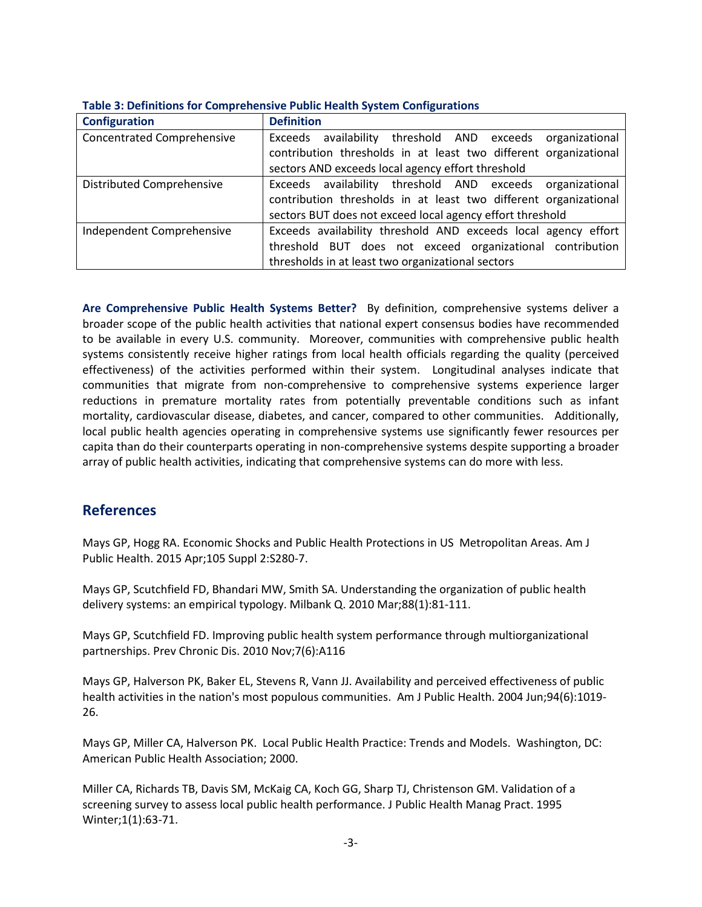| <b>Configuration</b>              | <b>Definition</b>                                                |
|-----------------------------------|------------------------------------------------------------------|
| <b>Concentrated Comprehensive</b> | Exceeds availability threshold AND exceeds organizational        |
|                                   | contribution thresholds in at least two different organizational |
|                                   | sectors AND exceeds local agency effort threshold                |
| <b>Distributed Comprehensive</b>  | Exceeds availability threshold AND exceeds organizational        |
|                                   | contribution thresholds in at least two different organizational |
|                                   | sectors BUT does not exceed local agency effort threshold        |
| Independent Comprehensive         | Exceeds availability threshold AND exceeds local agency effort   |
|                                   | threshold BUT does not exceed organizational contribution        |
|                                   | thresholds in at least two organizational sectors                |

#### **Table 3: Definitions for Comprehensive Public Health System Configurations**

**Are Comprehensive Public Health Systems Better?** By definition, comprehensive systems deliver a broader scope of the public health activities that national expert consensus bodies have recommended to be available in every U.S. community. Moreover, communities with comprehensive public health systems consistently receive higher ratings from local health officials regarding the quality (perceived effectiveness) of the activities performed within their system. Longitudinal analyses indicate that communities that migrate from non-comprehensive to comprehensive systems experience larger reductions in premature mortality rates from potentially preventable conditions such as infant mortality, cardiovascular disease, diabetes, and cancer, compared to other communities. Additionally, local public health agencies operating in comprehensive systems use significantly fewer resources per capita than do their counterparts operating in non-comprehensive systems despite supporting a broader array of public health activities, indicating that comprehensive systems can do more with less.

# **References**

Mays GP, Hogg RA. Economic Shocks and Public Health Protections in US Metropolitan Areas. Am J Public Health. 2015 Apr;105 Suppl 2:S280-7.

Mays GP, Scutchfield FD, Bhandari MW, Smith SA. Understanding the organization of public health delivery systems: an empirical typology. Milbank Q. 2010 Mar;88(1):81-111.

Mays GP, Scutchfield FD. Improving public health system performance through multiorganizational partnerships. Prev Chronic Dis. 2010 Nov;7(6):A116

Mays GP, Halverson PK, Baker EL, Stevens R, Vann JJ. Availability and perceived effectiveness of public health activities in the nation's most populous communities. Am J Public Health. 2004 Jun;94(6):1019- 26.

Mays GP, Miller CA, Halverson PK. Local Public Health Practice: Trends and Models. Washington, DC: American Public Health Association; 2000.

Miller CA, Richards TB, Davis SM, McKaig CA, Koch GG, Sharp TJ, Christenson GM. Validation of a screening survey to assess local public health performance. J Public Health Manag Pract. 1995 Winter;1(1):63-71.